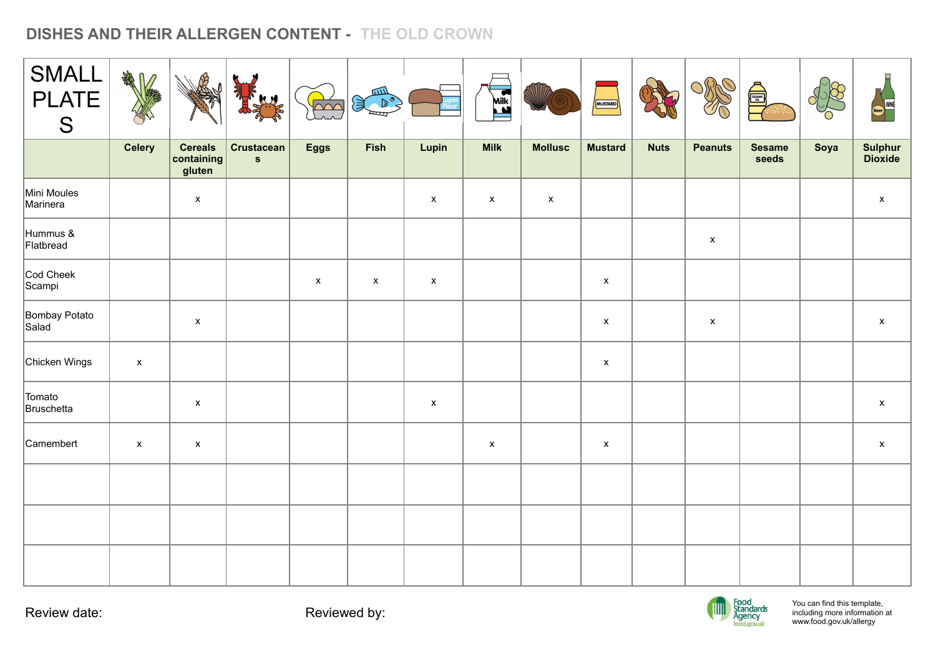## **DISHES AND THEIR ALLERGEN CONTENT - THE OLD CROWN**

| <b>SMALL</b><br><b>PLATE</b><br>S | <b>RAND</b>               |                                        |                                   | $\overline{\text{C}}$ | 四<br>$\mathbb{R}^{\bullet}$<br>1 |                    | Milk<br><b>Milk</b> |                    | MUSTARD            |             | OSPA               | d:                     |      | Beer WINE                 |
|-----------------------------------|---------------------------|----------------------------------------|-----------------------------------|-----------------------|----------------------------------|--------------------|---------------------|--------------------|--------------------|-------------|--------------------|------------------------|------|---------------------------|
|                                   | <b>Celery</b>             | <b>Cereals</b><br>containing<br>gluten | <b>Crustacean</b><br>$\mathbf{s}$ | <b>Eggs</b>           | Fish                             | Lupin              | <b>Milk</b>         | <b>Mollusc</b>     | <b>Mustard</b>     | <b>Nuts</b> | <b>Peanuts</b>     | <b>Sesame</b><br>seeds | Soya | Sulphur<br>Dioxide        |
| Mini Moules<br>Marinera           |                           | $\pmb{\mathsf{x}}$                     |                                   |                       |                                  | $\pmb{\mathsf{X}}$ | $\pmb{\mathsf{X}}$  | $\pmb{\mathsf{x}}$ |                    |             |                    |                        |      | $\boldsymbol{\mathsf{X}}$ |
| Hummus &<br>Flatbread             |                           |                                        |                                   |                       |                                  |                    |                     |                    |                    |             | $\pmb{\mathsf{x}}$ |                        |      |                           |
| Cod Cheek<br>Scampi               |                           |                                        |                                   | $\pmb{\chi}$          | $\pmb{\mathsf{x}}$               | $\pmb{\mathsf{x}}$ |                     |                    | $\pmb{\mathsf{x}}$ |             |                    |                        |      |                           |
| Bombay Potato<br>Salad            |                           | $\pmb{\mathsf{x}}$                     |                                   |                       |                                  |                    |                     |                    | $\pmb{\mathsf{X}}$ |             | $\pmb{\mathsf{x}}$ |                        |      | $\pmb{\mathsf{x}}$        |
| Chicken Wings                     | $\pmb{\mathsf{x}}$        |                                        |                                   |                       |                                  |                    |                     |                    | $\pmb{\mathsf{X}}$ |             |                    |                        |      |                           |
| Tomato<br>Bruschetta              |                           | $\pmb{\mathsf{X}}$                     |                                   |                       |                                  | $\pmb{\mathsf{x}}$ |                     |                    |                    |             |                    |                        |      | $\pmb{\mathsf{X}}$        |
| Camembert                         | $\boldsymbol{\mathsf{x}}$ | $\pmb{\mathsf{x}}$                     |                                   |                       |                                  |                    | $\pmb{\mathsf{x}}$  |                    | $\pmb{\mathsf{x}}$ |             |                    |                        |      | $\boldsymbol{\mathsf{X}}$ |
|                                   |                           |                                        |                                   |                       |                                  |                    |                     |                    |                    |             |                    |                        |      |                           |
|                                   |                           |                                        |                                   |                       |                                  |                    |                     |                    |                    |             |                    |                        |      |                           |
|                                   |                           |                                        |                                   |                       |                                  |                    |                     |                    |                    |             |                    |                        |      |                           |



You can find this template, including more information [at](http://www.food.gov.uk/allergy) [www.food.gov.uk/allergy](http://www.food.gov.uk/allergy)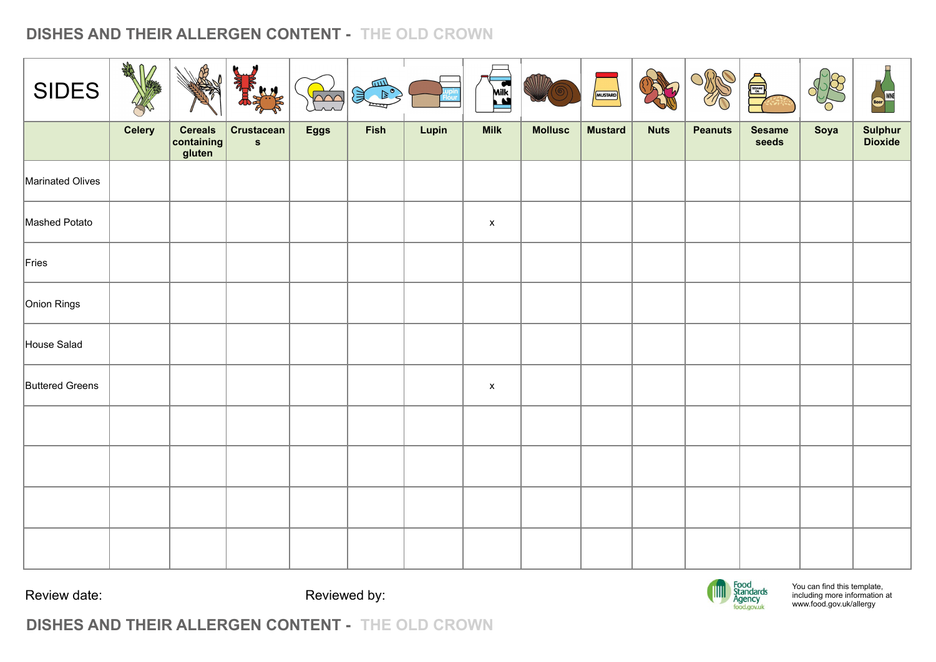## **DISHES AND THEIR ALLERGEN CONTENT - THE OLD CROWN**

| <b>SIDES</b>           | <b>SARRY</b><br>$\mathbb{M}$ | $\mathbb{R}^2$                         | <b>RANGE</b><br><b>SHAR</b>       | $\sqrt{2}$  | 仙山<br>$\triangleright$ °<br>浅 |       | Milk               |                | MUSTARD        |             | OMO            | <b>A</b>               |      | (Beer) WINE        |
|------------------------|------------------------------|----------------------------------------|-----------------------------------|-------------|-------------------------------|-------|--------------------|----------------|----------------|-------------|----------------|------------------------|------|--------------------|
|                        | <b>Celery</b>                | <b>Cereals</b><br>containing<br>gluten | <b>Crustacean</b><br>$\mathbf{s}$ | <b>Eggs</b> | Fish                          | Lupin | <b>Milk</b>        | <b>Mollusc</b> | <b>Mustard</b> | <b>Nuts</b> | <b>Peanuts</b> | <b>Sesame</b><br>seeds | Soya | Sulphur<br>Dioxide |
| Marinated Olives       |                              |                                        |                                   |             |                               |       |                    |                |                |             |                |                        |      |                    |
| Mashed Potato          |                              |                                        |                                   |             |                               |       | $\pmb{\mathsf{x}}$ |                |                |             |                |                        |      |                    |
| Fries                  |                              |                                        |                                   |             |                               |       |                    |                |                |             |                |                        |      |                    |
| Onion Rings            |                              |                                        |                                   |             |                               |       |                    |                |                |             |                |                        |      |                    |
| House Salad            |                              |                                        |                                   |             |                               |       |                    |                |                |             |                |                        |      |                    |
| <b>Buttered Greens</b> |                              |                                        |                                   |             |                               |       | $\pmb{\mathsf{x}}$ |                |                |             |                |                        |      |                    |
|                        |                              |                                        |                                   |             |                               |       |                    |                |                |             |                |                        |      |                    |
|                        |                              |                                        |                                   |             |                               |       |                    |                |                |             |                |                        |      |                    |
|                        |                              |                                        |                                   |             |                               |       |                    |                |                |             |                |                        |      |                    |
|                        |                              |                                        |                                   |             |                               |       |                    |                |                |             |                |                        |      |                    |

Review date: Reviewed by:



You can find this template, including more information [at](http://www.food.gov.uk/allergy) [www.food.gov.uk/allergy](http://www.food.gov.uk/allergy)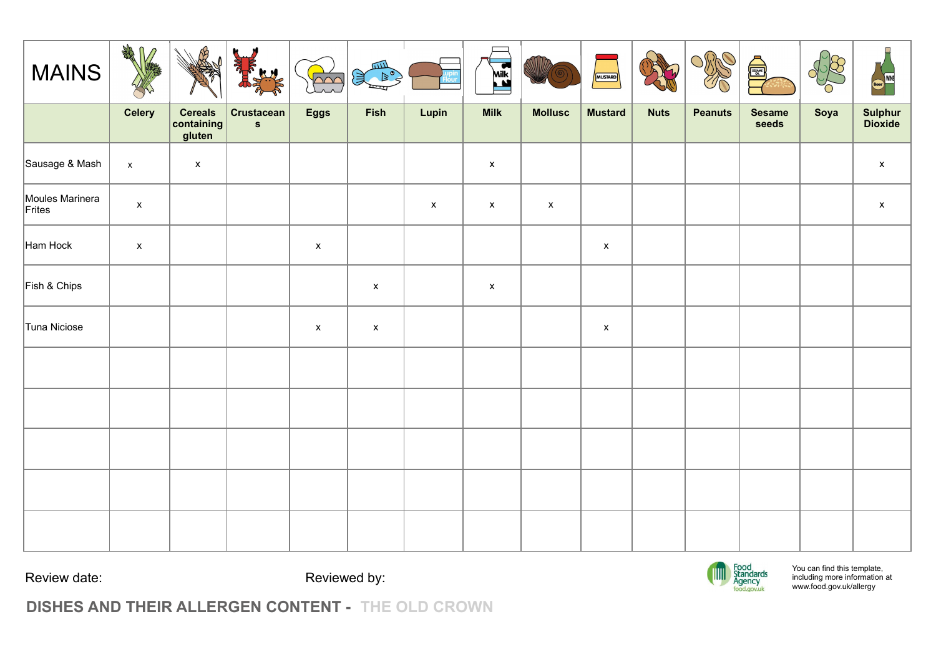| <b>MAINS</b>              | 绿八                 | 保                                      | <b>REAL</b><br>HH                 | $\overline{\triangle\!\!\!\!\triangle\!\!\!\!\triangle\!\!\!\!\triangle\!\!\!\!\triangle\!\!\!\!\triangle\!\!\!\!\triangle\!\!\!\!\triangle\!\!\!\!\triangle\!\!\!\!\triangle\!\!\!\!\triangle\!\!\!\!\triangle\!\!\!\!\triangle\!\!\!\!\triangle\!\!\!\!\triangle\!\!\!\!\triangle\!\!\!\!\triangle\!\!\!\!\triangle\!\!\!\!\triangle\!\!\!\!\triangle\!\!\!\!\triangle\!\!\!\!\triangle\!\!\!\!\triangle\!\!\!\!\triangle\!\!\!\!\triangle\!\!\!\!\triangle\!\!\!\!\triangle\!\!\!\!\triangle\!\!\!\!\triangle\!\!\!\!\triangle\!\!\!\!\triangle\!\!\!\!\triangle\!\!\!\!\triangle\!\!\!\!\triangle\!\!\!\!\triangle\!\!\!\!\triangle\!\!\!\!\$ | шv<br>ぼく           |                    | Milk               |                    | MUSTARD            |             | OMO            | é)                     |      | Beer WINE          |
|---------------------------|--------------------|----------------------------------------|-----------------------------------|---------------------------------------------------------------------------------------------------------------------------------------------------------------------------------------------------------------------------------------------------------------------------------------------------------------------------------------------------------------------------------------------------------------------------------------------------------------------------------------------------------------------------------------------------------------------------------------------------------------------------------------------------|--------------------|--------------------|--------------------|--------------------|--------------------|-------------|----------------|------------------------|------|--------------------|
|                           | <b>Celery</b>      | <b>Cereals</b><br>containing<br>gluten | <b>Crustacean</b><br>$\mathbf{s}$ | <b>Eggs</b>                                                                                                                                                                                                                                                                                                                                                                                                                                                                                                                                                                                                                                       | Fish               | Lupin              | <b>Milk</b>        | <b>Mollusc</b>     | <b>Mustard</b>     | <b>Nuts</b> | <b>Peanuts</b> | <b>Sesame</b><br>seeds | Soya | Sulphur<br>Dioxide |
| Sausage & Mash            | $\pmb{\mathsf{x}}$ | $\mathsf X$                            |                                   |                                                                                                                                                                                                                                                                                                                                                                                                                                                                                                                                                                                                                                                   |                    |                    | $\mathsf X$        |                    |                    |             |                |                        |      | $\mathsf X$        |
| Moules Marinera<br>Frites | $\mathsf X$        |                                        |                                   |                                                                                                                                                                                                                                                                                                                                                                                                                                                                                                                                                                                                                                                   |                    | $\pmb{\mathsf{x}}$ | $\pmb{\mathsf{x}}$ | $\pmb{\mathsf{x}}$ |                    |             |                |                        |      | $\pmb{\mathsf{x}}$ |
| Ham Hock                  | $\pmb{\mathsf{x}}$ |                                        |                                   | $\mathsf{x}$                                                                                                                                                                                                                                                                                                                                                                                                                                                                                                                                                                                                                                      |                    |                    |                    |                    | $\pmb{\mathsf{X}}$ |             |                |                        |      |                    |
| Fish & Chips              |                    |                                        |                                   |                                                                                                                                                                                                                                                                                                                                                                                                                                                                                                                                                                                                                                                   | $\pmb{\mathsf{x}}$ |                    | $\mathsf X$        |                    |                    |             |                |                        |      |                    |
| Tuna Niciose              |                    |                                        |                                   | $\pmb{\mathsf{x}}$                                                                                                                                                                                                                                                                                                                                                                                                                                                                                                                                                                                                                                | $\pmb{\mathsf{x}}$ |                    |                    |                    | $\pmb{\mathsf{X}}$ |             |                |                        |      |                    |
|                           |                    |                                        |                                   |                                                                                                                                                                                                                                                                                                                                                                                                                                                                                                                                                                                                                                                   |                    |                    |                    |                    |                    |             |                |                        |      |                    |
|                           |                    |                                        |                                   |                                                                                                                                                                                                                                                                                                                                                                                                                                                                                                                                                                                                                                                   |                    |                    |                    |                    |                    |             |                |                        |      |                    |
|                           |                    |                                        |                                   |                                                                                                                                                                                                                                                                                                                                                                                                                                                                                                                                                                                                                                                   |                    |                    |                    |                    |                    |             |                |                        |      |                    |
|                           |                    |                                        |                                   |                                                                                                                                                                                                                                                                                                                                                                                                                                                                                                                                                                                                                                                   |                    |                    |                    |                    |                    |             |                |                        |      |                    |
|                           |                    |                                        |                                   |                                                                                                                                                                                                                                                                                                                                                                                                                                                                                                                                                                                                                                                   |                    |                    |                    |                    |                    |             |                |                        |      |                    |



You can find this template, including more information [at](http://www.food.gov.uk/allergy) [www.food.gov.uk/allergy](http://www.food.gov.uk/allergy)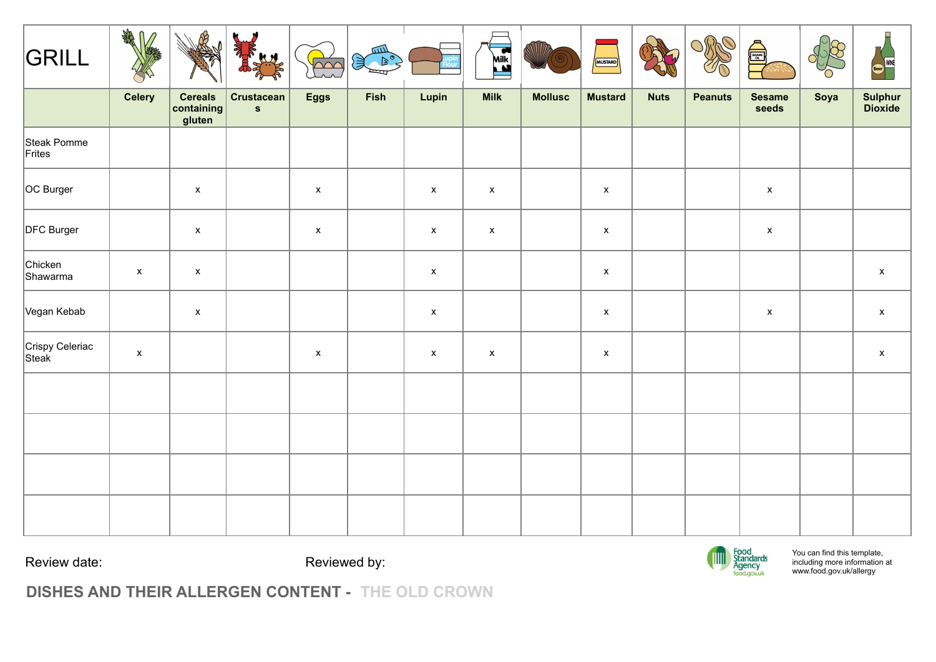| GRILL                    | 绿几                 | B                                      | <b>RANGE</b><br>A.H               | $\overline{\triangle\curvearrowright}$ | Search of |                    | Mik<br><b>List</b> |                | MUSTARD            |             | OMO<br>10      | de la propiet          |      | щ<br>WINE<br>(Beer) |
|--------------------------|--------------------|----------------------------------------|-----------------------------------|----------------------------------------|-----------|--------------------|--------------------|----------------|--------------------|-------------|----------------|------------------------|------|---------------------|
|                          | <b>Celery</b>      | <b>Cereals</b><br>containing<br>gluten | <b>Crustacean</b><br>$\mathbf{s}$ | <b>Eggs</b>                            | Fish      | Lupin              | <b>Milk</b>        | <b>Mollusc</b> | <b>Mustard</b>     | <b>Nuts</b> | <b>Peanuts</b> | <b>Sesame</b><br>seeds | Soya | Sulphur<br>Dioxide  |
| Steak Pomme<br>Frites    |                    |                                        |                                   |                                        |           |                    |                    |                |                    |             |                |                        |      |                     |
| OC Burger                |                    | $\pmb{\mathsf{x}}$                     |                                   | $\pmb{\mathsf{X}}$                     |           | $\pmb{\mathsf{x}}$ | $\mathsf X$        |                | $\pmb{\mathsf{x}}$ |             |                | $\mathsf X$            |      |                     |
| DFC Burger               |                    | $\pmb{\mathsf{x}}$                     |                                   | $\pmb{\mathsf{x}}$                     |           | $\pmb{\mathsf{x}}$ | $\pmb{\mathsf{x}}$ |                | $\pmb{\mathsf{x}}$ |             |                | $\pmb{\mathsf{x}}$     |      |                     |
| Chicken<br>Shawarma      | $\pmb{\mathsf{x}}$ | $\pmb{\mathsf{x}}$                     |                                   |                                        |           | $\pmb{\mathsf{X}}$ |                    |                | $\pmb{\mathsf{x}}$ |             |                |                        |      | $\pmb{\mathsf{X}}$  |
| Vegan Kebab              |                    | $\pmb{\mathsf{x}}$                     |                                   |                                        |           | $\mathsf X$        |                    |                | $\pmb{\mathsf{x}}$ |             |                | $\pmb{\mathsf{X}}$     |      | $\pmb{\mathsf{x}}$  |
| Crispy Celeriac<br>Steak | $\pmb{\mathsf{x}}$ |                                        |                                   | $\pmb{\mathsf{x}}$                     |           | $\pmb{\mathsf{x}}$ | $\mathsf X$        |                | $\pmb{\mathsf{x}}$ |             |                |                        |      | $\pmb{\mathsf{x}}$  |
|                          |                    |                                        |                                   |                                        |           |                    |                    |                |                    |             |                |                        |      |                     |
|                          |                    |                                        |                                   |                                        |           |                    |                    |                |                    |             |                |                        |      |                     |
|                          |                    |                                        |                                   |                                        |           |                    |                    |                |                    |             |                |                        |      |                     |
|                          |                    |                                        |                                   |                                        |           |                    |                    |                |                    |             |                |                        |      |                     |

Review date:  $\qquad \qquad$  Reviewed by:



You can find this template, including more information [at](http://www.food.gov.uk/allergy) [www.food.gov.uk/allergy](http://www.food.gov.uk/allergy)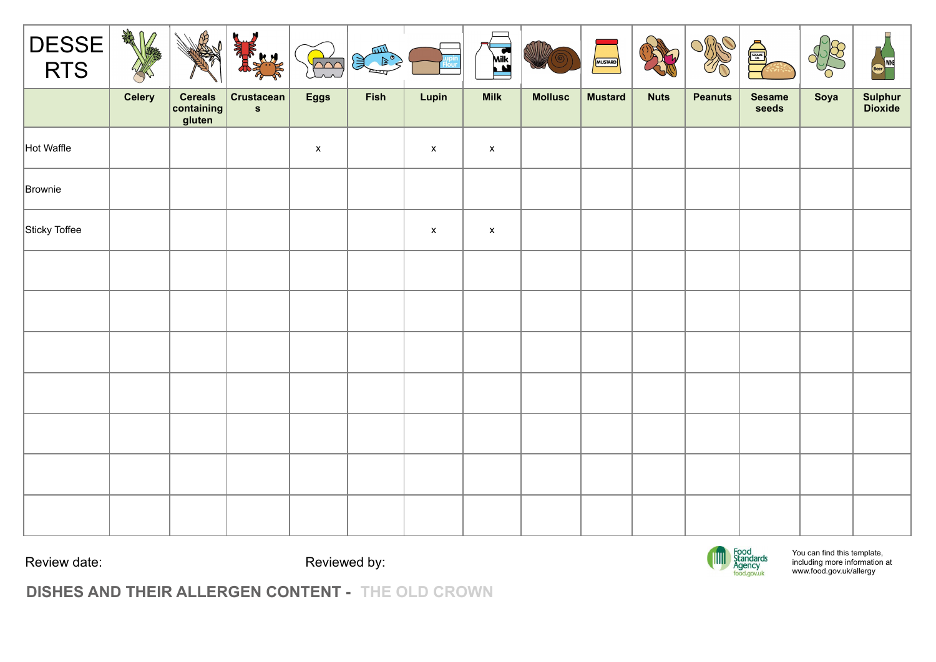| DESSE         | 绿几个           | ଐ                                      | Ŋ<br>I RELY                       | $\overline{\triangle\curvearrowright}$ | 皿<br>実 |                    | <b>Milk</b>               |                | MUSTARD        |             |                | $\begin{bmatrix} \frac{1}{2} \\ \frac{1}{2} \\ 0 \end{bmatrix}$ |      | $\Box$<br><b>MINE</b><br>Beer) |
|---------------|---------------|----------------------------------------|-----------------------------------|----------------------------------------|--------|--------------------|---------------------------|----------------|----------------|-------------|----------------|-----------------------------------------------------------------|------|--------------------------------|
|               | <b>Celery</b> | <b>Cereals</b><br>containing<br>gluten | <b>Crustacean</b><br>$\mathbf{s}$ | <b>Eggs</b>                            | Fish   | Lupin              | <b>Milk</b>               | <b>Mollusc</b> | <b>Mustard</b> | <b>Nuts</b> | <b>Peanuts</b> | <b>Sesame</b><br>seeds                                          | Soya | Sulphur<br>Dioxide             |
| Hot Waffle    |               |                                        |                                   | $\pmb{\mathsf{X}}$                     |        | $\pmb{\mathsf{x}}$ | $\boldsymbol{\mathsf{X}}$ |                |                |             |                |                                                                 |      |                                |
| Brownie       |               |                                        |                                   |                                        |        |                    |                           |                |                |             |                |                                                                 |      |                                |
| Sticky Toffee |               |                                        |                                   |                                        |        | $\pmb{\mathsf{x}}$ | $\boldsymbol{\mathsf{x}}$ |                |                |             |                |                                                                 |      |                                |
|               |               |                                        |                                   |                                        |        |                    |                           |                |                |             |                |                                                                 |      |                                |
|               |               |                                        |                                   |                                        |        |                    |                           |                |                |             |                |                                                                 |      |                                |
|               |               |                                        |                                   |                                        |        |                    |                           |                |                |             |                |                                                                 |      |                                |
|               |               |                                        |                                   |                                        |        |                    |                           |                |                |             |                |                                                                 |      |                                |
|               |               |                                        |                                   |                                        |        |                    |                           |                |                |             |                |                                                                 |      |                                |
|               |               |                                        |                                   |                                        |        |                    |                           |                |                |             |                |                                                                 |      |                                |
|               |               |                                        |                                   |                                        |        |                    |                           |                |                |             |                |                                                                 |      |                                |

Review date:  $\qquad \qquad$  Reviewed by:



You can find this template, including more information [at](http://www.food.gov.uk/allergy) [www.food.gov.uk/allergy](http://www.food.gov.uk/allergy)